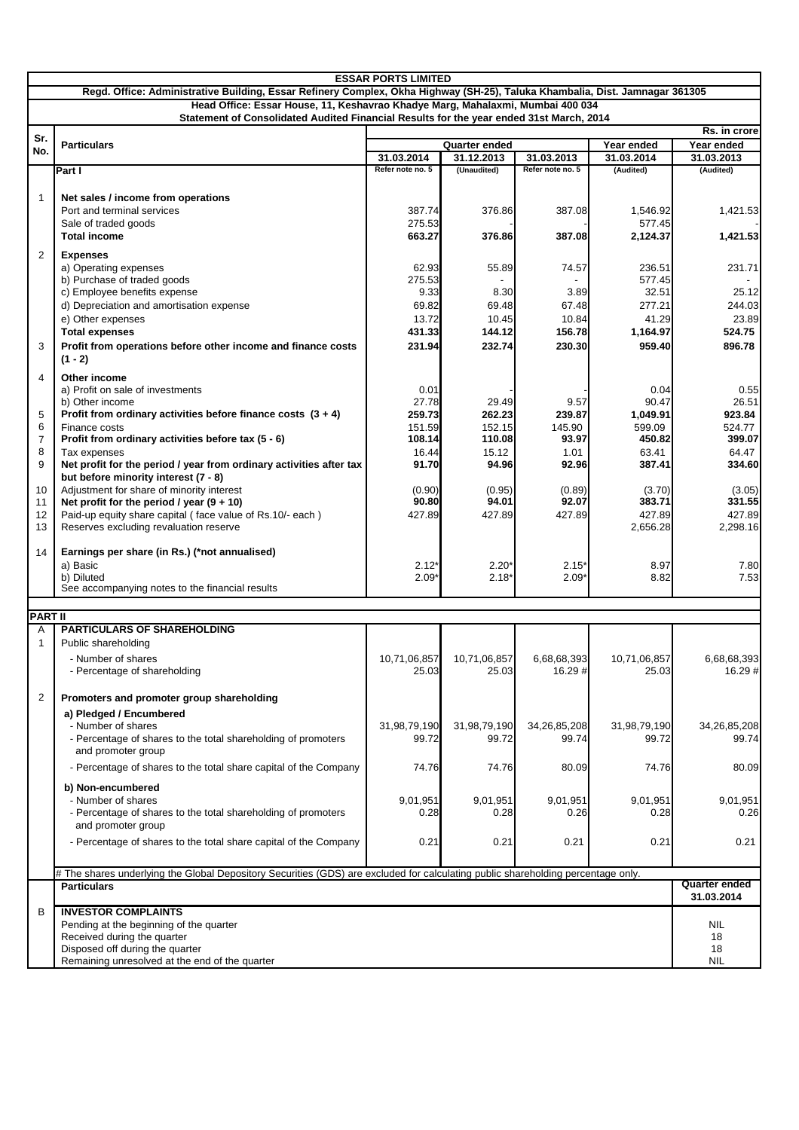| <b>ESSAR PORTS LIMITED</b> |                                                                                                                                                                                                                |                                |                           |                                |                         |                         |
|----------------------------|----------------------------------------------------------------------------------------------------------------------------------------------------------------------------------------------------------------|--------------------------------|---------------------------|--------------------------------|-------------------------|-------------------------|
|                            | Regd. Office: Administrative Building, Essar Refinery Complex, Okha Highway (SH-25), Taluka Khambalia, Dist. Jamnagar 361305<br>Head Office: Essar House, 11, Keshavrao Khadye Marg, Mahalaxmi, Mumbai 400 034 |                                |                           |                                |                         |                         |
|                            | Statement of Consolidated Audited Financial Results for the year ended 31st March, 2014                                                                                                                        |                                |                           |                                |                         |                         |
| Sr.                        |                                                                                                                                                                                                                |                                |                           |                                |                         | Rs. in crore            |
| No.                        | <b>Particulars</b>                                                                                                                                                                                             |                                | <b>Quarter ended</b>      |                                | Year ended              | Year ended              |
|                            | Part I                                                                                                                                                                                                         | 31.03.2014<br>Refer note no. 5 | 31.12.2013<br>(Unaudited) | 31.03.2013<br>Refer note no. 5 | 31.03.2014<br>(Audited) | 31.03.2013<br>(Audited) |
|                            |                                                                                                                                                                                                                |                                |                           |                                |                         |                         |
| 1                          | Net sales / income from operations                                                                                                                                                                             |                                |                           |                                |                         |                         |
|                            | Port and terminal services                                                                                                                                                                                     | 387.74                         | 376.86                    | 387.08                         | 1,546.92                | 1,421.53                |
|                            | Sale of traded goods                                                                                                                                                                                           | 275.53                         |                           |                                | 577.45                  |                         |
|                            | <b>Total income</b>                                                                                                                                                                                            | 663.27                         | 376.86                    | 387.08                         | 2,124.37                | 1,421.53                |
| $\overline{2}$             | <b>Expenses</b>                                                                                                                                                                                                |                                |                           |                                |                         |                         |
|                            | a) Operating expenses<br>b) Purchase of traded goods                                                                                                                                                           | 62.93<br>275.53                | 55.89                     | 74.57                          | 236.51<br>577.45        | 231.71                  |
|                            | c) Employee benefits expense                                                                                                                                                                                   | 9.33                           | 8.30                      | 3.89                           | 32.51                   | 25.12                   |
|                            | d) Depreciation and amortisation expense                                                                                                                                                                       | 69.82                          | 69.48                     | 67.48                          | 277.21                  | 244.03                  |
|                            | e) Other expenses                                                                                                                                                                                              | 13.72                          | 10.45                     | 10.84                          | 41.29                   | 23.89                   |
|                            | <b>Total expenses</b>                                                                                                                                                                                          | 431.33                         | 144.12                    | 156.78                         | 1,164.97                | 524.75                  |
| 3                          | Profit from operations before other income and finance costs<br>$(1 - 2)$                                                                                                                                      | 231.94                         | 232.74                    | 230.30                         | 959.40                  | 896.78                  |
| 4                          | Other income                                                                                                                                                                                                   |                                |                           |                                |                         |                         |
|                            | a) Profit on sale of investments                                                                                                                                                                               | 0.01                           |                           |                                | 0.04                    | 0.55                    |
|                            | b) Other income                                                                                                                                                                                                | 27.78                          | 29.49                     | 9.57                           | 90.47                   | 26.51                   |
| 5                          | Profit from ordinary activities before finance costs $(3 + 4)$                                                                                                                                                 | 259.73                         | 262.23                    | 239.87                         | 1,049.91                | 923.84                  |
| 6<br>7                     | Finance costs<br>Profit from ordinary activities before tax (5 - 6)                                                                                                                                            | 151.59<br>108.14               | 152.15<br>110.08          | 145.90<br>93.97                | 599.09<br>450.82        | 524.77<br>399.07        |
| 8                          | Tax expenses                                                                                                                                                                                                   | 16.44                          | 15.12                     | 1.01                           | 63.41                   | 64.47                   |
| 9                          | Net profit for the period / year from ordinary activities after tax                                                                                                                                            | 91.70                          | 94.96                     | 92.96                          | 387.41                  | 334.60                  |
|                            | but before minority interest (7 - 8)                                                                                                                                                                           |                                |                           |                                |                         |                         |
| 10<br>11                   | Adjustment for share of minority interest<br>Net profit for the period / year $(9 + 10)$                                                                                                                       | (0.90)<br>90.80                | (0.95)<br>94.01           | (0.89)<br>92.07                | (3.70)<br>383.71        | (3.05)<br>331.55        |
| 12                         | Paid-up equity share capital (face value of Rs.10/- each)                                                                                                                                                      | 427.89                         | 427.89                    | 427.89                         | 427.89                  | 427.89                  |
| 13                         | Reserves excluding revaluation reserve                                                                                                                                                                         |                                |                           |                                | 2,656.28                | 2,298.16                |
| 14                         | Earnings per share (in Rs.) (*not annualised)                                                                                                                                                                  |                                |                           |                                |                         |                         |
|                            | a) Basic                                                                                                                                                                                                       | $2.12*$                        | $2.20*$                   | $2.15*$                        | 8.97                    | 7.80                    |
|                            | b) Diluted                                                                                                                                                                                                     | $2.09*$                        | 2.18'                     | $2.09*$                        | 8.82                    | 7.53                    |
|                            | See accompanying notes to the financial results                                                                                                                                                                |                                |                           |                                |                         |                         |
| <b>PART II</b>             |                                                                                                                                                                                                                |                                |                           |                                |                         |                         |
| Α                          | <b>PARTICULARS OF SHAREHOLDING</b>                                                                                                                                                                             |                                |                           |                                |                         |                         |
| 1                          | Public shareholding                                                                                                                                                                                            |                                |                           |                                |                         |                         |
|                            | - Number of shares                                                                                                                                                                                             | 10,71,06,857                   | 10,71,06,857              | 6,68,68,393                    | 10,71,06,857            | 6,68,68,393             |
|                            | - Percentage of shareholding                                                                                                                                                                                   | 25.03                          | 25.03                     | 16.29 #                        | 25.03                   | 16.29 #                 |
| 2                          | Promoters and promoter group shareholding                                                                                                                                                                      |                                |                           |                                |                         |                         |
|                            | a) Pledged / Encumbered                                                                                                                                                                                        |                                |                           |                                |                         |                         |
|                            | - Number of shares                                                                                                                                                                                             | 31,98,79,190                   | 31,98,79,190              | 34,26,85,208                   | 31,98,79,190            | 34,26,85,208            |
|                            | - Percentage of shares to the total shareholding of promoters<br>and promoter group                                                                                                                            | 99.72                          | 99.72                     | 99.74                          | 99.72                   | 99.74                   |
|                            | - Percentage of shares to the total share capital of the Company                                                                                                                                               | 74.76                          | 74.76                     | 80.09                          | 74.76                   | 80.09                   |
|                            | b) Non-encumbered                                                                                                                                                                                              |                                |                           |                                |                         |                         |
|                            | - Number of shares                                                                                                                                                                                             | 9,01,951                       | 9,01,951                  | 9,01,951                       | 9,01,951                | 9,01,951                |
|                            | - Percentage of shares to the total shareholding of promoters                                                                                                                                                  | 0.28                           | 0.28                      | 0.26                           | 0.28                    | 0.26                    |
|                            | and promoter group                                                                                                                                                                                             |                                |                           |                                |                         |                         |
|                            | - Percentage of shares to the total share capital of the Company                                                                                                                                               | 0.21                           | 0.21                      | 0.21                           | 0.21                    | 0.21                    |
|                            | # The shares underlying the Global Depository Securities (GDS) are excluded for calculating public shareholding percentage only.                                                                               |                                |                           |                                |                         |                         |
|                            | <b>Particulars</b>                                                                                                                                                                                             |                                |                           |                                |                         | Quarter ended           |
|                            |                                                                                                                                                                                                                |                                |                           |                                |                         | 31.03.2014              |
| B                          | <b>INVESTOR COMPLAINTS</b><br>Pending at the beginning of the quarter                                                                                                                                          |                                |                           |                                |                         | <b>NIL</b>              |
|                            | Received during the quarter                                                                                                                                                                                    |                                |                           |                                |                         | 18                      |
|                            | Disposed off during the quarter                                                                                                                                                                                |                                |                           |                                |                         | 18                      |
|                            | Remaining unresolved at the end of the quarter                                                                                                                                                                 |                                |                           |                                |                         | <b>NIL</b>              |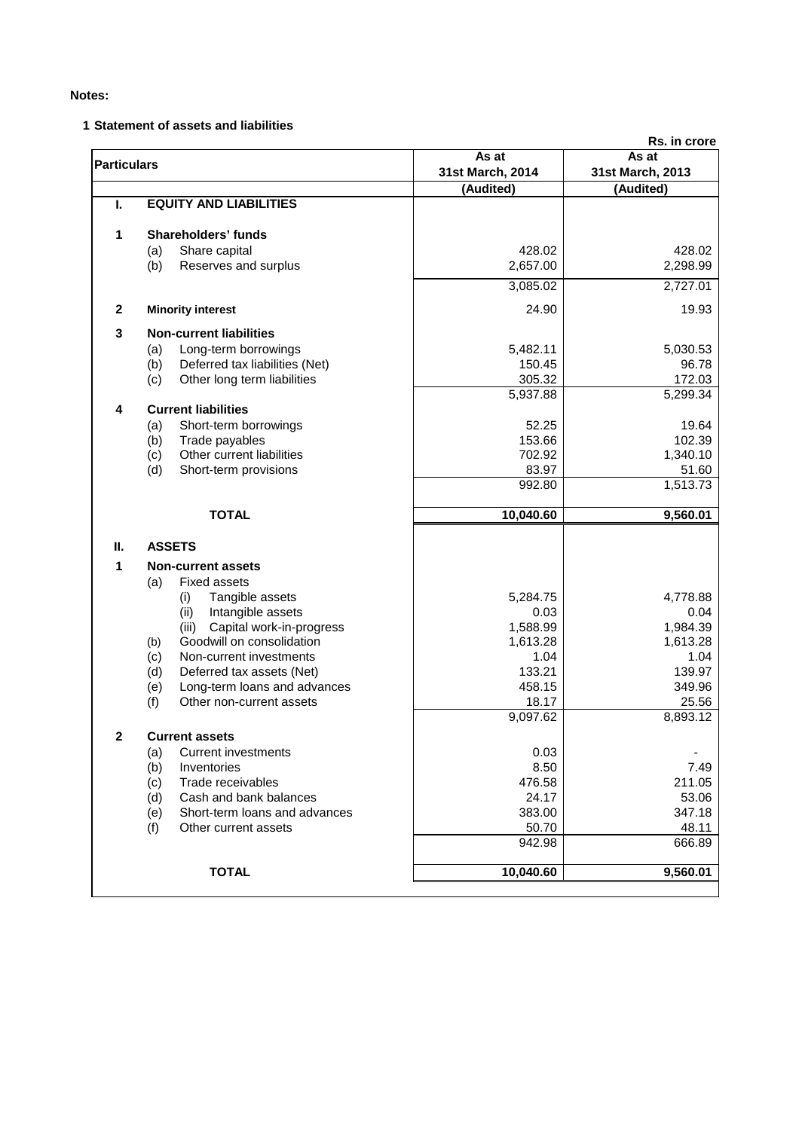# **1 Statement of assets and liabilities**

|                    |                                       |                  | Rs. in crore     |  |
|--------------------|---------------------------------------|------------------|------------------|--|
| <b>Particulars</b> |                                       | As at            | As at            |  |
|                    |                                       | 31st March, 2014 | 31st March, 2013 |  |
|                    |                                       | (Audited)        | (Audited)        |  |
| Т.                 | <b>EQUITY AND LIABILITIES</b>         |                  |                  |  |
| 1                  | Shareholders' funds                   |                  |                  |  |
|                    | (a)<br>Share capital                  | 428.02           | 428.02           |  |
|                    | (b)<br>Reserves and surplus           | 2,657.00         | 2,298.99         |  |
|                    |                                       | 3,085.02         | 2,727.01         |  |
| $\mathbf{2}$       | <b>Minority interest</b>              | 24.90            | 19.93            |  |
| 3                  | <b>Non-current liabilities</b>        |                  |                  |  |
|                    | Long-term borrowings<br>(a)           | 5,482.11         | 5,030.53         |  |
|                    | Deferred tax liabilities (Net)<br>(b) | 150.45           | 96.78            |  |
|                    | Other long term liabilities<br>(c)    | 305.32           | 172.03           |  |
|                    |                                       | 5,937.88         | 5,299.34         |  |
| 4                  | <b>Current liabilities</b>            |                  |                  |  |
|                    | Short-term borrowings<br>(a)          | 52.25            | 19.64            |  |
|                    | (b)<br>Trade payables                 | 153.66           | 102.39           |  |
|                    | Other current liabilities<br>(c)      | 702.92           | 1,340.10         |  |
|                    | (d)<br>Short-term provisions          | 83.97            | 51.60            |  |
|                    |                                       | 992.80           | 1,513.73         |  |
|                    | <b>TOTAL</b>                          | 10,040.60        | 9,560.01         |  |
| Ш.                 | <b>ASSETS</b>                         |                  |                  |  |
| 1                  | <b>Non-current assets</b>             |                  |                  |  |
|                    | <b>Fixed assets</b><br>(a)            |                  |                  |  |
|                    | Tangible assets<br>(i)                | 5,284.75         | 4,778.88         |  |
|                    | (ii)<br>Intangible assets             | 0.03             | 0.04             |  |
|                    | Capital work-in-progress<br>(iii)     | 1,588.99         | 1,984.39         |  |
|                    | Goodwill on consolidation<br>(b)      | 1,613.28         | 1,613.28         |  |
|                    | Non-current investments<br>(c)        | 1.04             | 1.04             |  |
|                    | (d)<br>Deferred tax assets (Net)      | 133.21           | 139.97           |  |
|                    | Long-term loans and advances<br>(e)   | 458.15           | 349.96           |  |
|                    | (f)<br>Other non-current assets       | 18.17            | 25.56            |  |
|                    |                                       | 9,097.62         | 8,893.12         |  |
| $\mathbf{2}$       | Current assets                        |                  |                  |  |
|                    | Current investments<br>(a)            | 0.03             |                  |  |
|                    | (b)<br>Inventories                    | 8.50             | 7.49             |  |
|                    | (c)<br>Trade receivables              | 476.58           | 211.05           |  |
|                    | Cash and bank balances<br>(d)         | 24.17            | 53.06            |  |
|                    | Short-term loans and advances<br>(e)  | 383.00           | 347.18           |  |
|                    | (f)<br>Other current assets           | 50.70            | 48.11            |  |
|                    |                                       | 942.98           | 666.89           |  |
|                    | <b>TOTAL</b>                          | 10,040.60        | 9,560.01         |  |
|                    |                                       |                  |                  |  |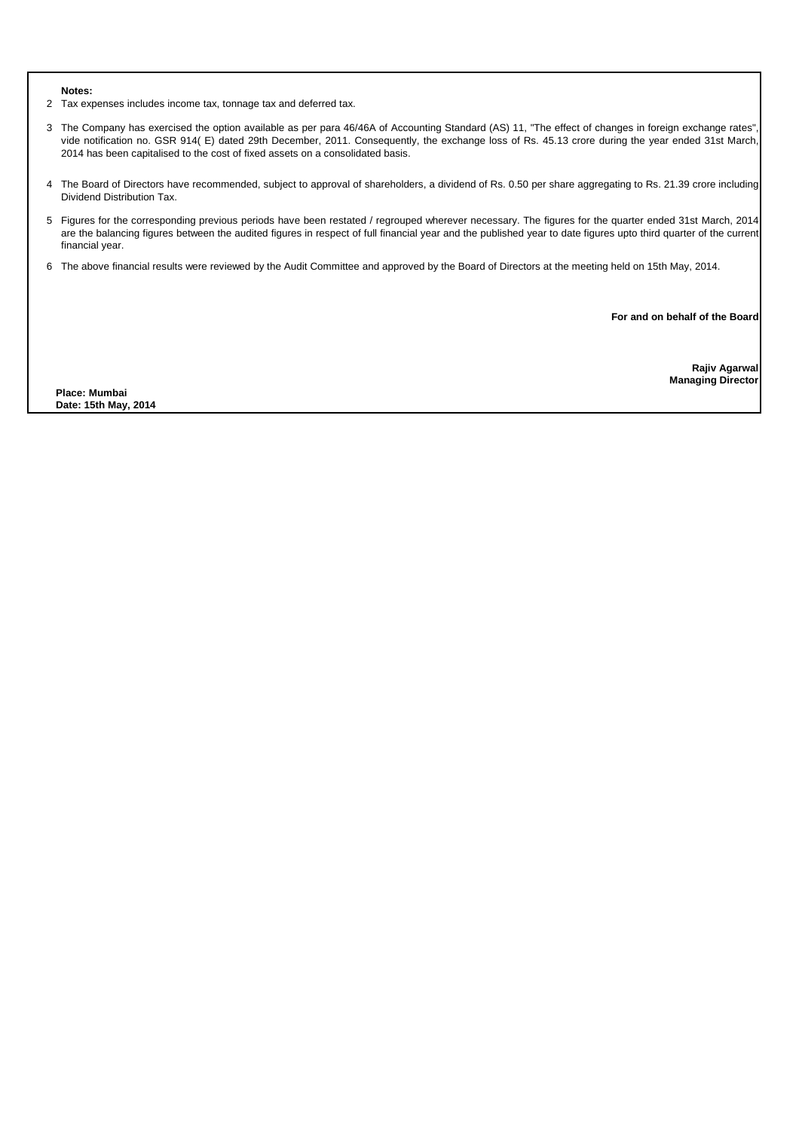2 Tax expenses includes income tax, tonnage tax and deferred tax.

- 3 The Company has exercised the option available as per para 46/46A of Accounting Standard (AS) 11, "The effect of changes in foreign exchange rates", vide notification no. GSR 914( E) dated 29th December, 2011. Consequently, the exchange loss of Rs. 45.13 crore during the year ended 31st March, 2014 has been capitalised to the cost of fixed assets on a consolidated basis.
- 4 The Board of Directors have recommended, subject to approval of shareholders, a dividend of Rs. 0.50 per share aggregating to Rs. 21.39 crore including Dividend Distribution Tax.
- 5 Figures for the corresponding previous periods have been restated / regrouped wherever necessary. The figures for the quarter ended 31st March, 2014 are the balancing figures between the audited figures in respect of full financial year and the published year to date figures upto third quarter of the current financial year.
- 6 The above financial results were reviewed by the Audit Committee and approved by the Board of Directors at the meeting held on 15th May, 2014.

**For and on behalf of the Board**

**Rajiv Agarwal Managing Director**

**Place: Mumbai Date: 15th May, 2014**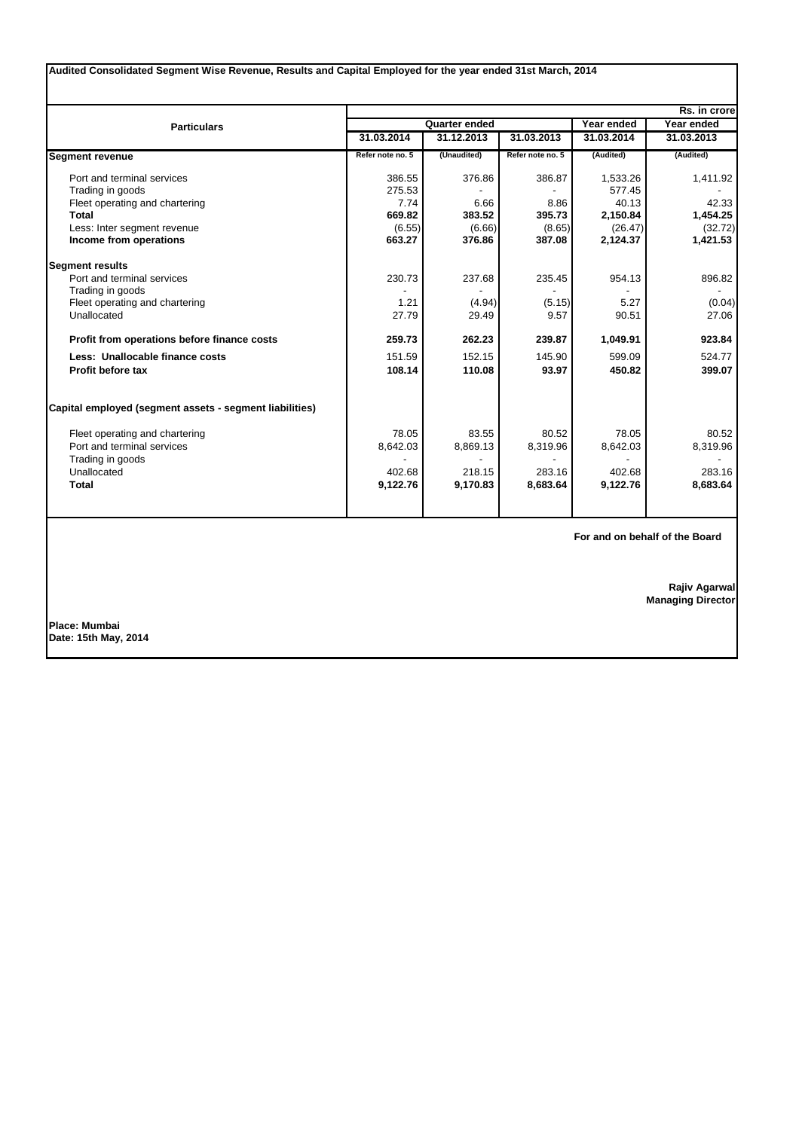| Audited Consolidated Segment Wise Revenue, Results and Capital Employed for the year ended 31st March, 2014 |                  |               |                  |                          |              |  |
|-------------------------------------------------------------------------------------------------------------|------------------|---------------|------------------|--------------------------|--------------|--|
|                                                                                                             |                  |               |                  |                          | Rs. in crore |  |
| <b>Particulars</b>                                                                                          |                  | Quarter ended |                  | Year ended<br>Year ended |              |  |
|                                                                                                             | 31.03.2014       | 31.12.2013    | 31.03.2013       | 31.03.2014               | 31.03.2013   |  |
| <b>Segment revenue</b>                                                                                      | Refer note no. 5 | (Unaudited)   | Refer note no. 5 | (Audited)                | (Audited)    |  |
| Port and terminal services                                                                                  | 386.55           | 376.86        | 386.87           | 1,533.26                 | 1,411.92     |  |
| Trading in goods                                                                                            | 275.53           |               |                  | 577.45                   |              |  |
| Fleet operating and chartering                                                                              | 7.74             | 6.66          | 8.86             | 40.13                    | 42.33        |  |
| <b>Total</b>                                                                                                | 669.82           | 383.52        | 395.73           | 2,150.84                 | 1,454.25     |  |
| Less: Inter segment revenue                                                                                 | (6.55)           | (6.66)        | (8.65)           | (26.47)                  | (32.72)      |  |
| Income from operations                                                                                      | 663.27           | 376.86        | 387.08           | 2,124.37                 | 1,421.53     |  |
| <b>Segment results</b>                                                                                      |                  |               |                  |                          |              |  |
| Port and terminal services                                                                                  | 230.73           | 237.68        | 235.45           | 954.13                   | 896.82       |  |
| Trading in goods                                                                                            |                  |               |                  |                          |              |  |
| Fleet operating and chartering                                                                              | 1.21             | (4.94)        | (5.15)           | 5.27                     | (0.04)       |  |
| Unallocated                                                                                                 | 27.79            | 29.49         | 9.57             | 90.51                    | 27.06        |  |
| Profit from operations before finance costs                                                                 | 259.73           | 262.23        | 239.87           | 1,049.91                 | 923.84       |  |
| Less: Unallocable finance costs                                                                             | 151.59           | 152.15        | 145.90           | 599.09                   | 524.77       |  |
| Profit before tax                                                                                           | 108.14           | 110.08        | 93.97            | 450.82                   | 399.07       |  |
| Capital employed (segment assets - segment liabilities)                                                     |                  |               |                  |                          |              |  |
| Fleet operating and chartering                                                                              | 78.05            | 83.55         | 80.52            | 78.05                    | 80.52        |  |
| Port and terminal services                                                                                  | 8,642.03         | 8,869.13      | 8,319.96         | 8,642.03                 | 8,319.96     |  |
| Trading in goods                                                                                            |                  |               |                  |                          |              |  |
| Unallocated                                                                                                 | 402.68           | 218.15        | 283.16           | 402.68                   | 283.16       |  |
| <b>Total</b>                                                                                                | 9,122.76         | 9,170.83      | 8,683.64         | 9,122.76                 | 8,683.64     |  |
|                                                                                                             |                  |               |                  |                          |              |  |

**For and on behalf of the Board**

**Rajiv Agarwal Managing Director**

**Place: Mumbai Date: 15th May, 2014**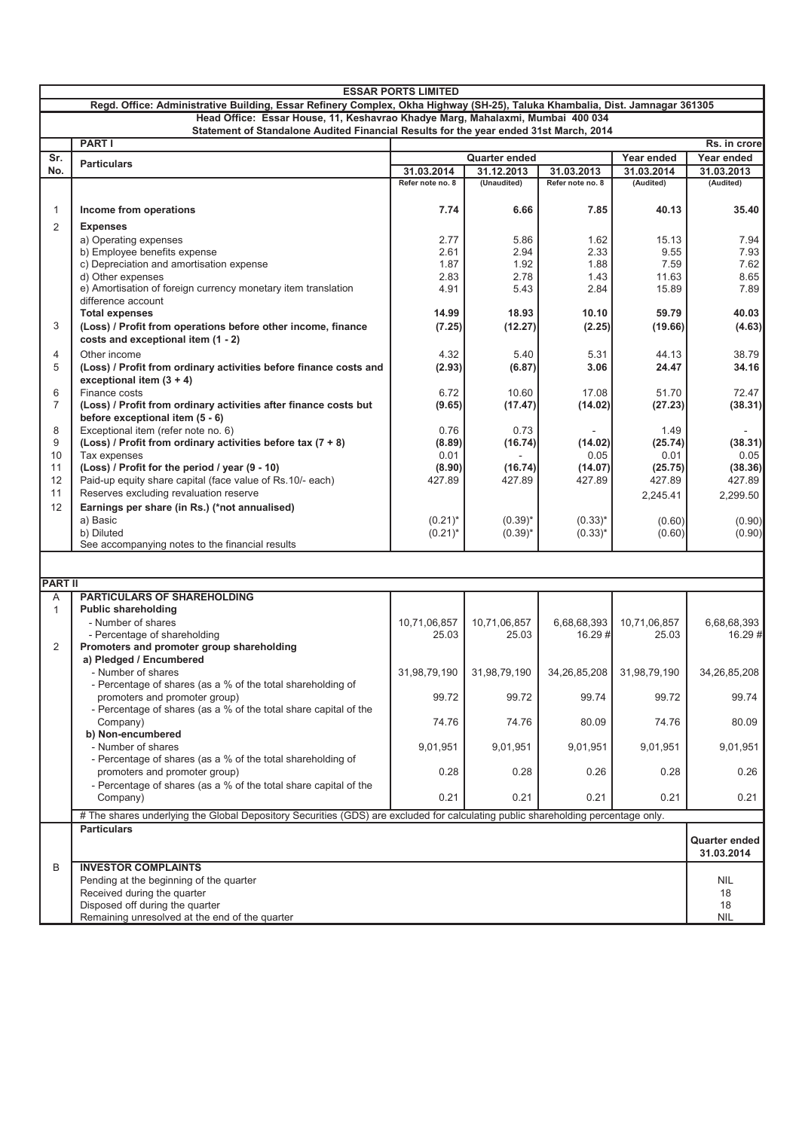| Head Office: Essar House, 11, Keshavrao Khadye Marg, Mahalaxmi, Mumbai 400 034<br>Statement of Standalone Audited Financial Results for the year ended 31st March, 2014<br><b>PART I</b><br>Rs. in crore<br>Sr.<br><b>Quarter ended</b><br>Year ended<br>Year ended<br><b>Particulars</b><br>31.12.2013<br>No.<br>31.03.2014<br>31.03.2013<br>31.03.2014<br>31.03.2013<br>(Unaudited)<br>(Audited)<br>Refer note no. 8<br>Refer note no. 8<br>(Audited)<br>6.66<br>Income from operations<br>7.74<br>7.85<br>40.13<br>35.40<br>1<br>2<br><b>Expenses</b><br>2.77<br>5.86<br>7.94<br>a) Operating expenses<br>1.62<br>15.13<br>b) Employee benefits expense<br>2.61<br>2.94<br>2.33<br>9.55<br>7.93<br>1.87<br>1.92<br>1.88<br>7.59<br>c) Depreciation and amortisation expense<br>7.62<br>d) Other expenses<br>2.83<br>2.78<br>1.43<br>11.63<br>8.65<br>e) Amortisation of foreign currency monetary item translation<br>4.91<br>5.43<br>2.84<br>15.89<br>7.89<br>difference account<br><b>Total expenses</b><br>14.99<br>18.93<br>10.10<br>59.79<br>40.03<br>3<br>(7.25)<br>(12.27)<br>(2.25)<br>(Loss) / Profit from operations before other income, finance<br>(19.66)<br>(4.63)<br>costs and exceptional item (1 - 2)<br>4.32<br>38.79<br>Other income<br>5.40<br>5.31<br>44.13<br>4<br>5<br>(2.93)<br>(6.87)<br>24.47<br>34.16<br>(Loss) / Profit from ordinary activities before finance costs and<br>3.06<br>exceptional item $(3 + 4)$<br>Finance costs<br>6.72<br>17.08<br>72.47<br>6<br>10.60<br>51.70<br>$\overline{7}$<br>(Loss) / Profit from ordinary activities after finance costs but<br>(9.65)<br>(17.47)<br>(14.02)<br>(27.23)<br>(38.31)<br>before exceptional item (5 - 6)<br>8<br>Exceptional item (refer note no. 6)<br>0.76<br>0.73<br>1.49<br>9<br>(Loss) / Profit from ordinary activities before tax $(7 + 8)$<br>(8.89)<br>(16.74)<br>(14.02)<br>(25.74)<br>(38.31)<br>Tax expenses<br>0.01<br>0.01<br>0.05<br>10<br>0.05<br>(Loss) / Profit for the period / year (9 - 10)<br>(8.90)<br>11<br>(16.74)<br>(14.07)<br>(25.75)<br>(38.36)<br>Paid-up equity share capital (face value of Rs.10/- each)<br>427.89<br>427.89<br>427.89<br>427.89<br>12<br>427.89<br>11<br>Reserves excluding revaluation reserve<br>2,245.41<br>2,299.50<br>12<br>Earnings per share (in Rs.) (*not annualised)<br>a) Basic<br>$(0.21)^*$<br>$(0.39)^*$<br>$(0.33)^*$<br>(0.60)<br>(0.90)<br>$(0.21)^*$<br>$(0.39)^{*}$<br>$(0.33)^{*}$<br>b) Diluted<br>(0.60)<br>See accompanying notes to the financial results<br><b>PART II</b><br><b>PARTICULARS OF SHAREHOLDING</b><br>A<br>$\mathbf{1}$<br><b>Public shareholding</b><br>- Number of shares<br>10,71,06,857<br>10,71,06,857<br>6,68,68,393<br>10,71,06,857<br>6,68,68,393<br>- Percentage of shareholding<br>$16.29 \#$<br>25.03<br>25.03<br>16.29 #<br>25.03<br>Promoters and promoter group shareholding<br>2<br>a) Pledged / Encumbered<br>- Number of shares<br>31,98,79,190<br>31,98,79,190<br>31,98,79,190<br>34,26,85,208<br>34,26,85,208<br>- Percentage of shares (as a % of the total shareholding of<br>99.72<br>99.72<br>99.72<br>99.74<br>99.74<br>promoters and promoter group)<br>- Percentage of shares (as a % of the total share capital of the<br>74.76<br>74.76<br>80.09<br>74.76<br>80.09<br>Company)<br>b) Non-encumbered<br>- Number of shares<br>9,01,951<br>9,01,951<br>9,01,951<br>9,01,951<br>9,01,951<br>- Percentage of shares (as a % of the total shareholding of<br>0.28<br>promoters and promoter group)<br>0.28<br>0.26<br>0.28<br>0.26<br>- Percentage of shares (as a % of the total share capital of the<br>0.21<br>0.21<br>Company)<br>0.21<br>0.21<br>0.21<br># The shares underlying the Global Depository Securities (GDS) are excluded for calculating public shareholding percentage only.<br><b>Particulars</b><br>Quarter ended<br>31.03.2014<br><b>INVESTOR COMPLAINTS</b><br>B<br>Pending at the beginning of the quarter<br>NIL<br>Received during the quarter<br>18<br>Disposed off during the quarter<br>18<br>Remaining unresolved at the end of the quarter<br><b>NIL</b> | <b>ESSAR PORTS LIMITED</b>                                                                                                   |  |  |  |  |  |        |
|-----------------------------------------------------------------------------------------------------------------------------------------------------------------------------------------------------------------------------------------------------------------------------------------------------------------------------------------------------------------------------------------------------------------------------------------------------------------------------------------------------------------------------------------------------------------------------------------------------------------------------------------------------------------------------------------------------------------------------------------------------------------------------------------------------------------------------------------------------------------------------------------------------------------------------------------------------------------------------------------------------------------------------------------------------------------------------------------------------------------------------------------------------------------------------------------------------------------------------------------------------------------------------------------------------------------------------------------------------------------------------------------------------------------------------------------------------------------------------------------------------------------------------------------------------------------------------------------------------------------------------------------------------------------------------------------------------------------------------------------------------------------------------------------------------------------------------------------------------------------------------------------------------------------------------------------------------------------------------------------------------------------------------------------------------------------------------------------------------------------------------------------------------------------------------------------------------------------------------------------------------------------------------------------------------------------------------------------------------------------------------------------------------------------------------------------------------------------------------------------------------------------------------------------------------------------------------------------------------------------------------------------------------------------------------------------------------------------------------------------------------------------------------------------------------------------------------------------------------------------------------------------------------------------------------------------------------------------------------------------------------------------------------------------------------------------------------------------------------------------------------------------------------------------------------------------------------------------------------------------------------------------------------------------------------------------------------------------------------------------------------------------------------------------------------------------------------------------------------------------------------------------------------------------------------------------------------------------------------------------------------------------------------------------------------------------------------------------------------------------------------------------------------------------------------------------------------------------------------------------------------------------------------------------------------------------------------------------------------------------------------------------------------------------------------------------------------------------------|------------------------------------------------------------------------------------------------------------------------------|--|--|--|--|--|--------|
|                                                                                                                                                                                                                                                                                                                                                                                                                                                                                                                                                                                                                                                                                                                                                                                                                                                                                                                                                                                                                                                                                                                                                                                                                                                                                                                                                                                                                                                                                                                                                                                                                                                                                                                                                                                                                                                                                                                                                                                                                                                                                                                                                                                                                                                                                                                                                                                                                                                                                                                                                                                                                                                                                                                                                                                                                                                                                                                                                                                                                                                                                                                                                                                                                                                                                                                                                                                                                                                                                                                                                                                                                                                                                                                                                                                                                                                                                                                                                                                                                                                                                               | Regd. Office: Administrative Building, Essar Refinery Complex, Okha Highway (SH-25), Taluka Khambalia, Dist. Jamnagar 361305 |  |  |  |  |  |        |
|                                                                                                                                                                                                                                                                                                                                                                                                                                                                                                                                                                                                                                                                                                                                                                                                                                                                                                                                                                                                                                                                                                                                                                                                                                                                                                                                                                                                                                                                                                                                                                                                                                                                                                                                                                                                                                                                                                                                                                                                                                                                                                                                                                                                                                                                                                                                                                                                                                                                                                                                                                                                                                                                                                                                                                                                                                                                                                                                                                                                                                                                                                                                                                                                                                                                                                                                                                                                                                                                                                                                                                                                                                                                                                                                                                                                                                                                                                                                                                                                                                                                                               |                                                                                                                              |  |  |  |  |  |        |
|                                                                                                                                                                                                                                                                                                                                                                                                                                                                                                                                                                                                                                                                                                                                                                                                                                                                                                                                                                                                                                                                                                                                                                                                                                                                                                                                                                                                                                                                                                                                                                                                                                                                                                                                                                                                                                                                                                                                                                                                                                                                                                                                                                                                                                                                                                                                                                                                                                                                                                                                                                                                                                                                                                                                                                                                                                                                                                                                                                                                                                                                                                                                                                                                                                                                                                                                                                                                                                                                                                                                                                                                                                                                                                                                                                                                                                                                                                                                                                                                                                                                                               |                                                                                                                              |  |  |  |  |  |        |
|                                                                                                                                                                                                                                                                                                                                                                                                                                                                                                                                                                                                                                                                                                                                                                                                                                                                                                                                                                                                                                                                                                                                                                                                                                                                                                                                                                                                                                                                                                                                                                                                                                                                                                                                                                                                                                                                                                                                                                                                                                                                                                                                                                                                                                                                                                                                                                                                                                                                                                                                                                                                                                                                                                                                                                                                                                                                                                                                                                                                                                                                                                                                                                                                                                                                                                                                                                                                                                                                                                                                                                                                                                                                                                                                                                                                                                                                                                                                                                                                                                                                                               |                                                                                                                              |  |  |  |  |  |        |
|                                                                                                                                                                                                                                                                                                                                                                                                                                                                                                                                                                                                                                                                                                                                                                                                                                                                                                                                                                                                                                                                                                                                                                                                                                                                                                                                                                                                                                                                                                                                                                                                                                                                                                                                                                                                                                                                                                                                                                                                                                                                                                                                                                                                                                                                                                                                                                                                                                                                                                                                                                                                                                                                                                                                                                                                                                                                                                                                                                                                                                                                                                                                                                                                                                                                                                                                                                                                                                                                                                                                                                                                                                                                                                                                                                                                                                                                                                                                                                                                                                                                                               |                                                                                                                              |  |  |  |  |  |        |
|                                                                                                                                                                                                                                                                                                                                                                                                                                                                                                                                                                                                                                                                                                                                                                                                                                                                                                                                                                                                                                                                                                                                                                                                                                                                                                                                                                                                                                                                                                                                                                                                                                                                                                                                                                                                                                                                                                                                                                                                                                                                                                                                                                                                                                                                                                                                                                                                                                                                                                                                                                                                                                                                                                                                                                                                                                                                                                                                                                                                                                                                                                                                                                                                                                                                                                                                                                                                                                                                                                                                                                                                                                                                                                                                                                                                                                                                                                                                                                                                                                                                                               |                                                                                                                              |  |  |  |  |  |        |
|                                                                                                                                                                                                                                                                                                                                                                                                                                                                                                                                                                                                                                                                                                                                                                                                                                                                                                                                                                                                                                                                                                                                                                                                                                                                                                                                                                                                                                                                                                                                                                                                                                                                                                                                                                                                                                                                                                                                                                                                                                                                                                                                                                                                                                                                                                                                                                                                                                                                                                                                                                                                                                                                                                                                                                                                                                                                                                                                                                                                                                                                                                                                                                                                                                                                                                                                                                                                                                                                                                                                                                                                                                                                                                                                                                                                                                                                                                                                                                                                                                                                                               |                                                                                                                              |  |  |  |  |  |        |
|                                                                                                                                                                                                                                                                                                                                                                                                                                                                                                                                                                                                                                                                                                                                                                                                                                                                                                                                                                                                                                                                                                                                                                                                                                                                                                                                                                                                                                                                                                                                                                                                                                                                                                                                                                                                                                                                                                                                                                                                                                                                                                                                                                                                                                                                                                                                                                                                                                                                                                                                                                                                                                                                                                                                                                                                                                                                                                                                                                                                                                                                                                                                                                                                                                                                                                                                                                                                                                                                                                                                                                                                                                                                                                                                                                                                                                                                                                                                                                                                                                                                                               |                                                                                                                              |  |  |  |  |  |        |
|                                                                                                                                                                                                                                                                                                                                                                                                                                                                                                                                                                                                                                                                                                                                                                                                                                                                                                                                                                                                                                                                                                                                                                                                                                                                                                                                                                                                                                                                                                                                                                                                                                                                                                                                                                                                                                                                                                                                                                                                                                                                                                                                                                                                                                                                                                                                                                                                                                                                                                                                                                                                                                                                                                                                                                                                                                                                                                                                                                                                                                                                                                                                                                                                                                                                                                                                                                                                                                                                                                                                                                                                                                                                                                                                                                                                                                                                                                                                                                                                                                                                                               |                                                                                                                              |  |  |  |  |  |        |
|                                                                                                                                                                                                                                                                                                                                                                                                                                                                                                                                                                                                                                                                                                                                                                                                                                                                                                                                                                                                                                                                                                                                                                                                                                                                                                                                                                                                                                                                                                                                                                                                                                                                                                                                                                                                                                                                                                                                                                                                                                                                                                                                                                                                                                                                                                                                                                                                                                                                                                                                                                                                                                                                                                                                                                                                                                                                                                                                                                                                                                                                                                                                                                                                                                                                                                                                                                                                                                                                                                                                                                                                                                                                                                                                                                                                                                                                                                                                                                                                                                                                                               |                                                                                                                              |  |  |  |  |  |        |
|                                                                                                                                                                                                                                                                                                                                                                                                                                                                                                                                                                                                                                                                                                                                                                                                                                                                                                                                                                                                                                                                                                                                                                                                                                                                                                                                                                                                                                                                                                                                                                                                                                                                                                                                                                                                                                                                                                                                                                                                                                                                                                                                                                                                                                                                                                                                                                                                                                                                                                                                                                                                                                                                                                                                                                                                                                                                                                                                                                                                                                                                                                                                                                                                                                                                                                                                                                                                                                                                                                                                                                                                                                                                                                                                                                                                                                                                                                                                                                                                                                                                                               |                                                                                                                              |  |  |  |  |  |        |
|                                                                                                                                                                                                                                                                                                                                                                                                                                                                                                                                                                                                                                                                                                                                                                                                                                                                                                                                                                                                                                                                                                                                                                                                                                                                                                                                                                                                                                                                                                                                                                                                                                                                                                                                                                                                                                                                                                                                                                                                                                                                                                                                                                                                                                                                                                                                                                                                                                                                                                                                                                                                                                                                                                                                                                                                                                                                                                                                                                                                                                                                                                                                                                                                                                                                                                                                                                                                                                                                                                                                                                                                                                                                                                                                                                                                                                                                                                                                                                                                                                                                                               |                                                                                                                              |  |  |  |  |  |        |
|                                                                                                                                                                                                                                                                                                                                                                                                                                                                                                                                                                                                                                                                                                                                                                                                                                                                                                                                                                                                                                                                                                                                                                                                                                                                                                                                                                                                                                                                                                                                                                                                                                                                                                                                                                                                                                                                                                                                                                                                                                                                                                                                                                                                                                                                                                                                                                                                                                                                                                                                                                                                                                                                                                                                                                                                                                                                                                                                                                                                                                                                                                                                                                                                                                                                                                                                                                                                                                                                                                                                                                                                                                                                                                                                                                                                                                                                                                                                                                                                                                                                                               |                                                                                                                              |  |  |  |  |  |        |
|                                                                                                                                                                                                                                                                                                                                                                                                                                                                                                                                                                                                                                                                                                                                                                                                                                                                                                                                                                                                                                                                                                                                                                                                                                                                                                                                                                                                                                                                                                                                                                                                                                                                                                                                                                                                                                                                                                                                                                                                                                                                                                                                                                                                                                                                                                                                                                                                                                                                                                                                                                                                                                                                                                                                                                                                                                                                                                                                                                                                                                                                                                                                                                                                                                                                                                                                                                                                                                                                                                                                                                                                                                                                                                                                                                                                                                                                                                                                                                                                                                                                                               |                                                                                                                              |  |  |  |  |  |        |
|                                                                                                                                                                                                                                                                                                                                                                                                                                                                                                                                                                                                                                                                                                                                                                                                                                                                                                                                                                                                                                                                                                                                                                                                                                                                                                                                                                                                                                                                                                                                                                                                                                                                                                                                                                                                                                                                                                                                                                                                                                                                                                                                                                                                                                                                                                                                                                                                                                                                                                                                                                                                                                                                                                                                                                                                                                                                                                                                                                                                                                                                                                                                                                                                                                                                                                                                                                                                                                                                                                                                                                                                                                                                                                                                                                                                                                                                                                                                                                                                                                                                                               |                                                                                                                              |  |  |  |  |  |        |
|                                                                                                                                                                                                                                                                                                                                                                                                                                                                                                                                                                                                                                                                                                                                                                                                                                                                                                                                                                                                                                                                                                                                                                                                                                                                                                                                                                                                                                                                                                                                                                                                                                                                                                                                                                                                                                                                                                                                                                                                                                                                                                                                                                                                                                                                                                                                                                                                                                                                                                                                                                                                                                                                                                                                                                                                                                                                                                                                                                                                                                                                                                                                                                                                                                                                                                                                                                                                                                                                                                                                                                                                                                                                                                                                                                                                                                                                                                                                                                                                                                                                                               |                                                                                                                              |  |  |  |  |  |        |
|                                                                                                                                                                                                                                                                                                                                                                                                                                                                                                                                                                                                                                                                                                                                                                                                                                                                                                                                                                                                                                                                                                                                                                                                                                                                                                                                                                                                                                                                                                                                                                                                                                                                                                                                                                                                                                                                                                                                                                                                                                                                                                                                                                                                                                                                                                                                                                                                                                                                                                                                                                                                                                                                                                                                                                                                                                                                                                                                                                                                                                                                                                                                                                                                                                                                                                                                                                                                                                                                                                                                                                                                                                                                                                                                                                                                                                                                                                                                                                                                                                                                                               |                                                                                                                              |  |  |  |  |  |        |
|                                                                                                                                                                                                                                                                                                                                                                                                                                                                                                                                                                                                                                                                                                                                                                                                                                                                                                                                                                                                                                                                                                                                                                                                                                                                                                                                                                                                                                                                                                                                                                                                                                                                                                                                                                                                                                                                                                                                                                                                                                                                                                                                                                                                                                                                                                                                                                                                                                                                                                                                                                                                                                                                                                                                                                                                                                                                                                                                                                                                                                                                                                                                                                                                                                                                                                                                                                                                                                                                                                                                                                                                                                                                                                                                                                                                                                                                                                                                                                                                                                                                                               |                                                                                                                              |  |  |  |  |  |        |
|                                                                                                                                                                                                                                                                                                                                                                                                                                                                                                                                                                                                                                                                                                                                                                                                                                                                                                                                                                                                                                                                                                                                                                                                                                                                                                                                                                                                                                                                                                                                                                                                                                                                                                                                                                                                                                                                                                                                                                                                                                                                                                                                                                                                                                                                                                                                                                                                                                                                                                                                                                                                                                                                                                                                                                                                                                                                                                                                                                                                                                                                                                                                                                                                                                                                                                                                                                                                                                                                                                                                                                                                                                                                                                                                                                                                                                                                                                                                                                                                                                                                                               |                                                                                                                              |  |  |  |  |  |        |
|                                                                                                                                                                                                                                                                                                                                                                                                                                                                                                                                                                                                                                                                                                                                                                                                                                                                                                                                                                                                                                                                                                                                                                                                                                                                                                                                                                                                                                                                                                                                                                                                                                                                                                                                                                                                                                                                                                                                                                                                                                                                                                                                                                                                                                                                                                                                                                                                                                                                                                                                                                                                                                                                                                                                                                                                                                                                                                                                                                                                                                                                                                                                                                                                                                                                                                                                                                                                                                                                                                                                                                                                                                                                                                                                                                                                                                                                                                                                                                                                                                                                                               |                                                                                                                              |  |  |  |  |  |        |
|                                                                                                                                                                                                                                                                                                                                                                                                                                                                                                                                                                                                                                                                                                                                                                                                                                                                                                                                                                                                                                                                                                                                                                                                                                                                                                                                                                                                                                                                                                                                                                                                                                                                                                                                                                                                                                                                                                                                                                                                                                                                                                                                                                                                                                                                                                                                                                                                                                                                                                                                                                                                                                                                                                                                                                                                                                                                                                                                                                                                                                                                                                                                                                                                                                                                                                                                                                                                                                                                                                                                                                                                                                                                                                                                                                                                                                                                                                                                                                                                                                                                                               |                                                                                                                              |  |  |  |  |  |        |
|                                                                                                                                                                                                                                                                                                                                                                                                                                                                                                                                                                                                                                                                                                                                                                                                                                                                                                                                                                                                                                                                                                                                                                                                                                                                                                                                                                                                                                                                                                                                                                                                                                                                                                                                                                                                                                                                                                                                                                                                                                                                                                                                                                                                                                                                                                                                                                                                                                                                                                                                                                                                                                                                                                                                                                                                                                                                                                                                                                                                                                                                                                                                                                                                                                                                                                                                                                                                                                                                                                                                                                                                                                                                                                                                                                                                                                                                                                                                                                                                                                                                                               |                                                                                                                              |  |  |  |  |  |        |
|                                                                                                                                                                                                                                                                                                                                                                                                                                                                                                                                                                                                                                                                                                                                                                                                                                                                                                                                                                                                                                                                                                                                                                                                                                                                                                                                                                                                                                                                                                                                                                                                                                                                                                                                                                                                                                                                                                                                                                                                                                                                                                                                                                                                                                                                                                                                                                                                                                                                                                                                                                                                                                                                                                                                                                                                                                                                                                                                                                                                                                                                                                                                                                                                                                                                                                                                                                                                                                                                                                                                                                                                                                                                                                                                                                                                                                                                                                                                                                                                                                                                                               |                                                                                                                              |  |  |  |  |  |        |
|                                                                                                                                                                                                                                                                                                                                                                                                                                                                                                                                                                                                                                                                                                                                                                                                                                                                                                                                                                                                                                                                                                                                                                                                                                                                                                                                                                                                                                                                                                                                                                                                                                                                                                                                                                                                                                                                                                                                                                                                                                                                                                                                                                                                                                                                                                                                                                                                                                                                                                                                                                                                                                                                                                                                                                                                                                                                                                                                                                                                                                                                                                                                                                                                                                                                                                                                                                                                                                                                                                                                                                                                                                                                                                                                                                                                                                                                                                                                                                                                                                                                                               |                                                                                                                              |  |  |  |  |  |        |
|                                                                                                                                                                                                                                                                                                                                                                                                                                                                                                                                                                                                                                                                                                                                                                                                                                                                                                                                                                                                                                                                                                                                                                                                                                                                                                                                                                                                                                                                                                                                                                                                                                                                                                                                                                                                                                                                                                                                                                                                                                                                                                                                                                                                                                                                                                                                                                                                                                                                                                                                                                                                                                                                                                                                                                                                                                                                                                                                                                                                                                                                                                                                                                                                                                                                                                                                                                                                                                                                                                                                                                                                                                                                                                                                                                                                                                                                                                                                                                                                                                                                                               |                                                                                                                              |  |  |  |  |  |        |
|                                                                                                                                                                                                                                                                                                                                                                                                                                                                                                                                                                                                                                                                                                                                                                                                                                                                                                                                                                                                                                                                                                                                                                                                                                                                                                                                                                                                                                                                                                                                                                                                                                                                                                                                                                                                                                                                                                                                                                                                                                                                                                                                                                                                                                                                                                                                                                                                                                                                                                                                                                                                                                                                                                                                                                                                                                                                                                                                                                                                                                                                                                                                                                                                                                                                                                                                                                                                                                                                                                                                                                                                                                                                                                                                                                                                                                                                                                                                                                                                                                                                                               |                                                                                                                              |  |  |  |  |  |        |
|                                                                                                                                                                                                                                                                                                                                                                                                                                                                                                                                                                                                                                                                                                                                                                                                                                                                                                                                                                                                                                                                                                                                                                                                                                                                                                                                                                                                                                                                                                                                                                                                                                                                                                                                                                                                                                                                                                                                                                                                                                                                                                                                                                                                                                                                                                                                                                                                                                                                                                                                                                                                                                                                                                                                                                                                                                                                                                                                                                                                                                                                                                                                                                                                                                                                                                                                                                                                                                                                                                                                                                                                                                                                                                                                                                                                                                                                                                                                                                                                                                                                                               |                                                                                                                              |  |  |  |  |  |        |
|                                                                                                                                                                                                                                                                                                                                                                                                                                                                                                                                                                                                                                                                                                                                                                                                                                                                                                                                                                                                                                                                                                                                                                                                                                                                                                                                                                                                                                                                                                                                                                                                                                                                                                                                                                                                                                                                                                                                                                                                                                                                                                                                                                                                                                                                                                                                                                                                                                                                                                                                                                                                                                                                                                                                                                                                                                                                                                                                                                                                                                                                                                                                                                                                                                                                                                                                                                                                                                                                                                                                                                                                                                                                                                                                                                                                                                                                                                                                                                                                                                                                                               |                                                                                                                              |  |  |  |  |  | (0.90) |
|                                                                                                                                                                                                                                                                                                                                                                                                                                                                                                                                                                                                                                                                                                                                                                                                                                                                                                                                                                                                                                                                                                                                                                                                                                                                                                                                                                                                                                                                                                                                                                                                                                                                                                                                                                                                                                                                                                                                                                                                                                                                                                                                                                                                                                                                                                                                                                                                                                                                                                                                                                                                                                                                                                                                                                                                                                                                                                                                                                                                                                                                                                                                                                                                                                                                                                                                                                                                                                                                                                                                                                                                                                                                                                                                                                                                                                                                                                                                                                                                                                                                                               |                                                                                                                              |  |  |  |  |  |        |
|                                                                                                                                                                                                                                                                                                                                                                                                                                                                                                                                                                                                                                                                                                                                                                                                                                                                                                                                                                                                                                                                                                                                                                                                                                                                                                                                                                                                                                                                                                                                                                                                                                                                                                                                                                                                                                                                                                                                                                                                                                                                                                                                                                                                                                                                                                                                                                                                                                                                                                                                                                                                                                                                                                                                                                                                                                                                                                                                                                                                                                                                                                                                                                                                                                                                                                                                                                                                                                                                                                                                                                                                                                                                                                                                                                                                                                                                                                                                                                                                                                                                                               |                                                                                                                              |  |  |  |  |  |        |
|                                                                                                                                                                                                                                                                                                                                                                                                                                                                                                                                                                                                                                                                                                                                                                                                                                                                                                                                                                                                                                                                                                                                                                                                                                                                                                                                                                                                                                                                                                                                                                                                                                                                                                                                                                                                                                                                                                                                                                                                                                                                                                                                                                                                                                                                                                                                                                                                                                                                                                                                                                                                                                                                                                                                                                                                                                                                                                                                                                                                                                                                                                                                                                                                                                                                                                                                                                                                                                                                                                                                                                                                                                                                                                                                                                                                                                                                                                                                                                                                                                                                                               |                                                                                                                              |  |  |  |  |  |        |
|                                                                                                                                                                                                                                                                                                                                                                                                                                                                                                                                                                                                                                                                                                                                                                                                                                                                                                                                                                                                                                                                                                                                                                                                                                                                                                                                                                                                                                                                                                                                                                                                                                                                                                                                                                                                                                                                                                                                                                                                                                                                                                                                                                                                                                                                                                                                                                                                                                                                                                                                                                                                                                                                                                                                                                                                                                                                                                                                                                                                                                                                                                                                                                                                                                                                                                                                                                                                                                                                                                                                                                                                                                                                                                                                                                                                                                                                                                                                                                                                                                                                                               |                                                                                                                              |  |  |  |  |  |        |
|                                                                                                                                                                                                                                                                                                                                                                                                                                                                                                                                                                                                                                                                                                                                                                                                                                                                                                                                                                                                                                                                                                                                                                                                                                                                                                                                                                                                                                                                                                                                                                                                                                                                                                                                                                                                                                                                                                                                                                                                                                                                                                                                                                                                                                                                                                                                                                                                                                                                                                                                                                                                                                                                                                                                                                                                                                                                                                                                                                                                                                                                                                                                                                                                                                                                                                                                                                                                                                                                                                                                                                                                                                                                                                                                                                                                                                                                                                                                                                                                                                                                                               |                                                                                                                              |  |  |  |  |  |        |
|                                                                                                                                                                                                                                                                                                                                                                                                                                                                                                                                                                                                                                                                                                                                                                                                                                                                                                                                                                                                                                                                                                                                                                                                                                                                                                                                                                                                                                                                                                                                                                                                                                                                                                                                                                                                                                                                                                                                                                                                                                                                                                                                                                                                                                                                                                                                                                                                                                                                                                                                                                                                                                                                                                                                                                                                                                                                                                                                                                                                                                                                                                                                                                                                                                                                                                                                                                                                                                                                                                                                                                                                                                                                                                                                                                                                                                                                                                                                                                                                                                                                                               |                                                                                                                              |  |  |  |  |  |        |
|                                                                                                                                                                                                                                                                                                                                                                                                                                                                                                                                                                                                                                                                                                                                                                                                                                                                                                                                                                                                                                                                                                                                                                                                                                                                                                                                                                                                                                                                                                                                                                                                                                                                                                                                                                                                                                                                                                                                                                                                                                                                                                                                                                                                                                                                                                                                                                                                                                                                                                                                                                                                                                                                                                                                                                                                                                                                                                                                                                                                                                                                                                                                                                                                                                                                                                                                                                                                                                                                                                                                                                                                                                                                                                                                                                                                                                                                                                                                                                                                                                                                                               |                                                                                                                              |  |  |  |  |  |        |
|                                                                                                                                                                                                                                                                                                                                                                                                                                                                                                                                                                                                                                                                                                                                                                                                                                                                                                                                                                                                                                                                                                                                                                                                                                                                                                                                                                                                                                                                                                                                                                                                                                                                                                                                                                                                                                                                                                                                                                                                                                                                                                                                                                                                                                                                                                                                                                                                                                                                                                                                                                                                                                                                                                                                                                                                                                                                                                                                                                                                                                                                                                                                                                                                                                                                                                                                                                                                                                                                                                                                                                                                                                                                                                                                                                                                                                                                                                                                                                                                                                                                                               |                                                                                                                              |  |  |  |  |  |        |
|                                                                                                                                                                                                                                                                                                                                                                                                                                                                                                                                                                                                                                                                                                                                                                                                                                                                                                                                                                                                                                                                                                                                                                                                                                                                                                                                                                                                                                                                                                                                                                                                                                                                                                                                                                                                                                                                                                                                                                                                                                                                                                                                                                                                                                                                                                                                                                                                                                                                                                                                                                                                                                                                                                                                                                                                                                                                                                                                                                                                                                                                                                                                                                                                                                                                                                                                                                                                                                                                                                                                                                                                                                                                                                                                                                                                                                                                                                                                                                                                                                                                                               |                                                                                                                              |  |  |  |  |  |        |
|                                                                                                                                                                                                                                                                                                                                                                                                                                                                                                                                                                                                                                                                                                                                                                                                                                                                                                                                                                                                                                                                                                                                                                                                                                                                                                                                                                                                                                                                                                                                                                                                                                                                                                                                                                                                                                                                                                                                                                                                                                                                                                                                                                                                                                                                                                                                                                                                                                                                                                                                                                                                                                                                                                                                                                                                                                                                                                                                                                                                                                                                                                                                                                                                                                                                                                                                                                                                                                                                                                                                                                                                                                                                                                                                                                                                                                                                                                                                                                                                                                                                                               |                                                                                                                              |  |  |  |  |  |        |
|                                                                                                                                                                                                                                                                                                                                                                                                                                                                                                                                                                                                                                                                                                                                                                                                                                                                                                                                                                                                                                                                                                                                                                                                                                                                                                                                                                                                                                                                                                                                                                                                                                                                                                                                                                                                                                                                                                                                                                                                                                                                                                                                                                                                                                                                                                                                                                                                                                                                                                                                                                                                                                                                                                                                                                                                                                                                                                                                                                                                                                                                                                                                                                                                                                                                                                                                                                                                                                                                                                                                                                                                                                                                                                                                                                                                                                                                                                                                                                                                                                                                                               |                                                                                                                              |  |  |  |  |  |        |
|                                                                                                                                                                                                                                                                                                                                                                                                                                                                                                                                                                                                                                                                                                                                                                                                                                                                                                                                                                                                                                                                                                                                                                                                                                                                                                                                                                                                                                                                                                                                                                                                                                                                                                                                                                                                                                                                                                                                                                                                                                                                                                                                                                                                                                                                                                                                                                                                                                                                                                                                                                                                                                                                                                                                                                                                                                                                                                                                                                                                                                                                                                                                                                                                                                                                                                                                                                                                                                                                                                                                                                                                                                                                                                                                                                                                                                                                                                                                                                                                                                                                                               |                                                                                                                              |  |  |  |  |  |        |
|                                                                                                                                                                                                                                                                                                                                                                                                                                                                                                                                                                                                                                                                                                                                                                                                                                                                                                                                                                                                                                                                                                                                                                                                                                                                                                                                                                                                                                                                                                                                                                                                                                                                                                                                                                                                                                                                                                                                                                                                                                                                                                                                                                                                                                                                                                                                                                                                                                                                                                                                                                                                                                                                                                                                                                                                                                                                                                                                                                                                                                                                                                                                                                                                                                                                                                                                                                                                                                                                                                                                                                                                                                                                                                                                                                                                                                                                                                                                                                                                                                                                                               |                                                                                                                              |  |  |  |  |  |        |
|                                                                                                                                                                                                                                                                                                                                                                                                                                                                                                                                                                                                                                                                                                                                                                                                                                                                                                                                                                                                                                                                                                                                                                                                                                                                                                                                                                                                                                                                                                                                                                                                                                                                                                                                                                                                                                                                                                                                                                                                                                                                                                                                                                                                                                                                                                                                                                                                                                                                                                                                                                                                                                                                                                                                                                                                                                                                                                                                                                                                                                                                                                                                                                                                                                                                                                                                                                                                                                                                                                                                                                                                                                                                                                                                                                                                                                                                                                                                                                                                                                                                                               |                                                                                                                              |  |  |  |  |  |        |
|                                                                                                                                                                                                                                                                                                                                                                                                                                                                                                                                                                                                                                                                                                                                                                                                                                                                                                                                                                                                                                                                                                                                                                                                                                                                                                                                                                                                                                                                                                                                                                                                                                                                                                                                                                                                                                                                                                                                                                                                                                                                                                                                                                                                                                                                                                                                                                                                                                                                                                                                                                                                                                                                                                                                                                                                                                                                                                                                                                                                                                                                                                                                                                                                                                                                                                                                                                                                                                                                                                                                                                                                                                                                                                                                                                                                                                                                                                                                                                                                                                                                                               |                                                                                                                              |  |  |  |  |  |        |
|                                                                                                                                                                                                                                                                                                                                                                                                                                                                                                                                                                                                                                                                                                                                                                                                                                                                                                                                                                                                                                                                                                                                                                                                                                                                                                                                                                                                                                                                                                                                                                                                                                                                                                                                                                                                                                                                                                                                                                                                                                                                                                                                                                                                                                                                                                                                                                                                                                                                                                                                                                                                                                                                                                                                                                                                                                                                                                                                                                                                                                                                                                                                                                                                                                                                                                                                                                                                                                                                                                                                                                                                                                                                                                                                                                                                                                                                                                                                                                                                                                                                                               |                                                                                                                              |  |  |  |  |  |        |
|                                                                                                                                                                                                                                                                                                                                                                                                                                                                                                                                                                                                                                                                                                                                                                                                                                                                                                                                                                                                                                                                                                                                                                                                                                                                                                                                                                                                                                                                                                                                                                                                                                                                                                                                                                                                                                                                                                                                                                                                                                                                                                                                                                                                                                                                                                                                                                                                                                                                                                                                                                                                                                                                                                                                                                                                                                                                                                                                                                                                                                                                                                                                                                                                                                                                                                                                                                                                                                                                                                                                                                                                                                                                                                                                                                                                                                                                                                                                                                                                                                                                                               |                                                                                                                              |  |  |  |  |  |        |
|                                                                                                                                                                                                                                                                                                                                                                                                                                                                                                                                                                                                                                                                                                                                                                                                                                                                                                                                                                                                                                                                                                                                                                                                                                                                                                                                                                                                                                                                                                                                                                                                                                                                                                                                                                                                                                                                                                                                                                                                                                                                                                                                                                                                                                                                                                                                                                                                                                                                                                                                                                                                                                                                                                                                                                                                                                                                                                                                                                                                                                                                                                                                                                                                                                                                                                                                                                                                                                                                                                                                                                                                                                                                                                                                                                                                                                                                                                                                                                                                                                                                                               |                                                                                                                              |  |  |  |  |  |        |
|                                                                                                                                                                                                                                                                                                                                                                                                                                                                                                                                                                                                                                                                                                                                                                                                                                                                                                                                                                                                                                                                                                                                                                                                                                                                                                                                                                                                                                                                                                                                                                                                                                                                                                                                                                                                                                                                                                                                                                                                                                                                                                                                                                                                                                                                                                                                                                                                                                                                                                                                                                                                                                                                                                                                                                                                                                                                                                                                                                                                                                                                                                                                                                                                                                                                                                                                                                                                                                                                                                                                                                                                                                                                                                                                                                                                                                                                                                                                                                                                                                                                                               |                                                                                                                              |  |  |  |  |  |        |
|                                                                                                                                                                                                                                                                                                                                                                                                                                                                                                                                                                                                                                                                                                                                                                                                                                                                                                                                                                                                                                                                                                                                                                                                                                                                                                                                                                                                                                                                                                                                                                                                                                                                                                                                                                                                                                                                                                                                                                                                                                                                                                                                                                                                                                                                                                                                                                                                                                                                                                                                                                                                                                                                                                                                                                                                                                                                                                                                                                                                                                                                                                                                                                                                                                                                                                                                                                                                                                                                                                                                                                                                                                                                                                                                                                                                                                                                                                                                                                                                                                                                                               |                                                                                                                              |  |  |  |  |  |        |
|                                                                                                                                                                                                                                                                                                                                                                                                                                                                                                                                                                                                                                                                                                                                                                                                                                                                                                                                                                                                                                                                                                                                                                                                                                                                                                                                                                                                                                                                                                                                                                                                                                                                                                                                                                                                                                                                                                                                                                                                                                                                                                                                                                                                                                                                                                                                                                                                                                                                                                                                                                                                                                                                                                                                                                                                                                                                                                                                                                                                                                                                                                                                                                                                                                                                                                                                                                                                                                                                                                                                                                                                                                                                                                                                                                                                                                                                                                                                                                                                                                                                                               |                                                                                                                              |  |  |  |  |  |        |
|                                                                                                                                                                                                                                                                                                                                                                                                                                                                                                                                                                                                                                                                                                                                                                                                                                                                                                                                                                                                                                                                                                                                                                                                                                                                                                                                                                                                                                                                                                                                                                                                                                                                                                                                                                                                                                                                                                                                                                                                                                                                                                                                                                                                                                                                                                                                                                                                                                                                                                                                                                                                                                                                                                                                                                                                                                                                                                                                                                                                                                                                                                                                                                                                                                                                                                                                                                                                                                                                                                                                                                                                                                                                                                                                                                                                                                                                                                                                                                                                                                                                                               |                                                                                                                              |  |  |  |  |  |        |
|                                                                                                                                                                                                                                                                                                                                                                                                                                                                                                                                                                                                                                                                                                                                                                                                                                                                                                                                                                                                                                                                                                                                                                                                                                                                                                                                                                                                                                                                                                                                                                                                                                                                                                                                                                                                                                                                                                                                                                                                                                                                                                                                                                                                                                                                                                                                                                                                                                                                                                                                                                                                                                                                                                                                                                                                                                                                                                                                                                                                                                                                                                                                                                                                                                                                                                                                                                                                                                                                                                                                                                                                                                                                                                                                                                                                                                                                                                                                                                                                                                                                                               |                                                                                                                              |  |  |  |  |  |        |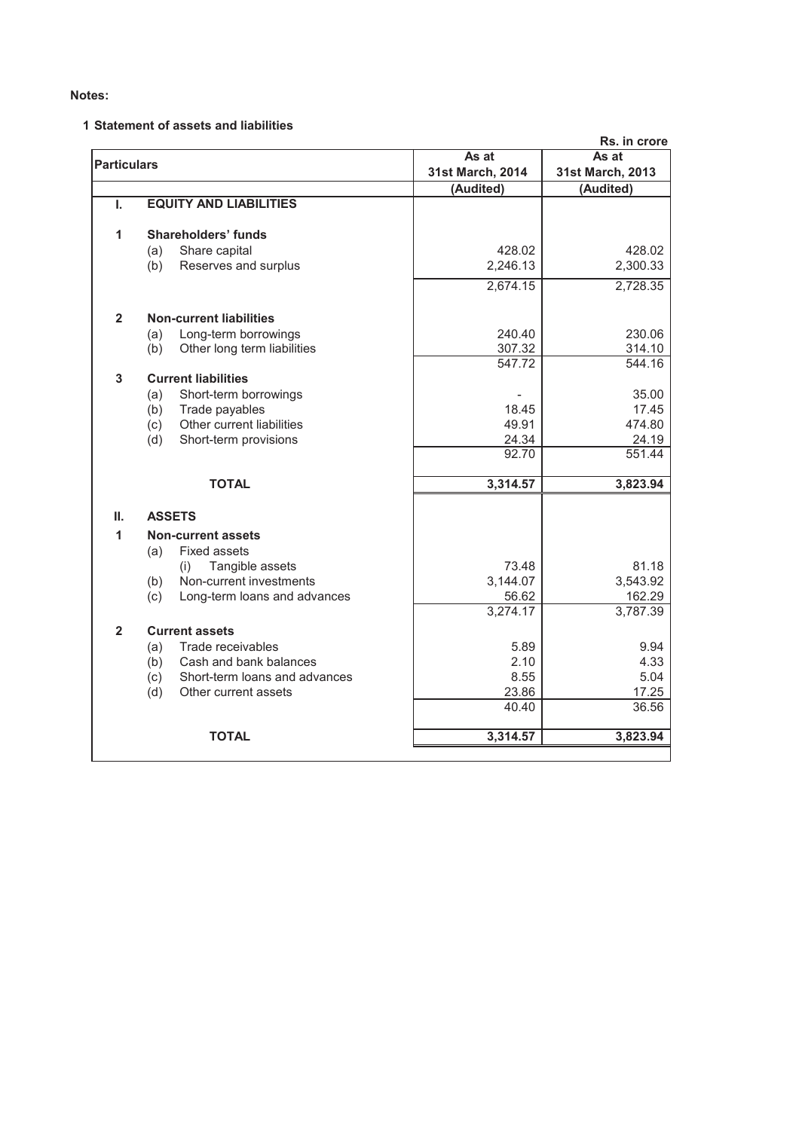# **1 Statement of assets and liabilities**

|                    |                                      |                  | Rs. in crore     |  |
|--------------------|--------------------------------------|------------------|------------------|--|
| <b>Particulars</b> |                                      | As at            | As at            |  |
|                    |                                      | 31st March, 2014 | 31st March, 2013 |  |
|                    |                                      | (Audited)        | (Audited)        |  |
| ı.                 | <b>EQUITY AND LIABILITIES</b>        |                  |                  |  |
| 1                  | <b>Shareholders' funds</b>           |                  |                  |  |
|                    | Share capital<br>(a)                 | 428.02           | 428.02           |  |
|                    | Reserves and surplus<br>(b)          | 2,246.13         | 2,300.33         |  |
|                    |                                      | 2,674.15         | 2,728.35         |  |
| $\overline{2}$     | <b>Non-current liabilities</b>       |                  |                  |  |
|                    | Long-term borrowings<br>(a)          | 240.40           | 230.06           |  |
|                    | Other long term liabilities<br>(b)   | 307.32           | 314.10           |  |
|                    |                                      | 547.72           | 544.16           |  |
| 3                  | <b>Current liabilities</b>           |                  |                  |  |
|                    | Short-term borrowings<br>(a)         |                  | 35.00            |  |
|                    | Trade payables<br>(b)                | 18.45            | 17.45            |  |
|                    | Other current liabilities<br>(c)     | 49.91            | 474.80           |  |
|                    | (d)<br>Short-term provisions         | 24.34            | 24.19            |  |
|                    |                                      | 92.70            | 551.44           |  |
|                    | <b>TOTAL</b>                         | 3,314.57         | 3,823.94         |  |
| Ш.                 | <b>ASSETS</b>                        |                  |                  |  |
| $\mathbf{1}$       | <b>Non-current assets</b>            |                  |                  |  |
|                    | <b>Fixed assets</b><br>(a)           |                  |                  |  |
|                    | Tangible assets<br>(i)               | 73.48            | 81.18            |  |
|                    | Non-current investments<br>(b)       | 3,144.07         | 3,543.92         |  |
|                    | (c)<br>Long-term loans and advances  | 56.62            | 162.29           |  |
|                    |                                      | 3,274.17         | 3,787.39         |  |
| $\overline{2}$     | <b>Current assets</b>                |                  |                  |  |
|                    | Trade receivables<br>(a)             | 5.89             | 9.94             |  |
|                    | Cash and bank balances<br>(b)        | 2.10             | 4.33             |  |
|                    | (c)<br>Short-term loans and advances | 8.55             | 5.04             |  |
|                    | Other current assets<br>(d)          | 23.86            | 17.25            |  |
|                    |                                      | 40.40            | 36.56            |  |
|                    | <b>TOTAL</b>                         | 3,314.57         | 3,823.94         |  |
|                    |                                      |                  |                  |  |